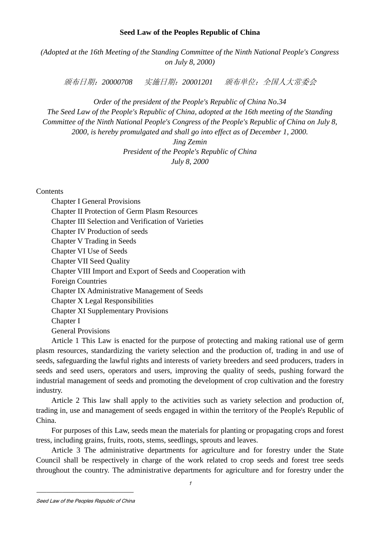## **Seed Law of the Peoples Republic of China**

*(Adopted at the 16th Meeting of the Standing Committee of the Ninth National People's Congress on July 8, 2000)*

颁布日期:*20000708* 实施日期:*20001201* 颁布单位:全国人大常委会

*Order of the president of the People's Republic of China No.34 The Seed Law of the People's Republic of China, adopted at the 16th meeting of the Standing Committee of the Ninth National People's Congress of the People's Republic of China on July 8, 2000, is hereby promulgated and shall go into effect as of December 1, 2000.*

> *Jing Zemin President of the People's Republic of China July 8, 2000*

**Contents** 

 Chapter I General Provisions Chapter II Protection of Germ Plasm Resources Chapter III Selection and Verification of Varieties Chapter IV Production of seeds Chapter V Trading in Seeds Chapter VI Use of Seeds Chapter VII Seed Quality Chapter VIII Import and Export of Seeds and Cooperation with Foreign Countries Chapter IX Administrative Management of Seeds Chapter X Legal Responsibilities Chapter XI Supplementary Provisions Chapter I General Provisions

 Article 1 This Law is enacted for the purpose of protecting and making rational use of germ plasm resources, standardizing the variety selection and the production of, trading in and use of seeds, safeguarding the lawful rights and interests of variety breeders and seed producers, traders in seeds and seed users, operators and users, improving the quality of seeds, pushing forward the industrial management of seeds and promoting the development of crop cultivation and the forestry industry.

 Article 2 This law shall apply to the activities such as variety selection and production of, trading in, use and management of seeds engaged in within the territory of the People's Republic of China.

 For purposes of this Law, seeds mean the materials for planting or propagating crops and forest tress, including grains, fruits, roots, stems, seedlings, sprouts and leaves.

 Article 3 The administrative departments for agriculture and for forestry under the State Council shall be respectively in charge of the work related to crop seeds and forest tree seeds throughout the country. The administrative departments for agriculture and for forestry under the

Seed Law of the Peoples Republic of China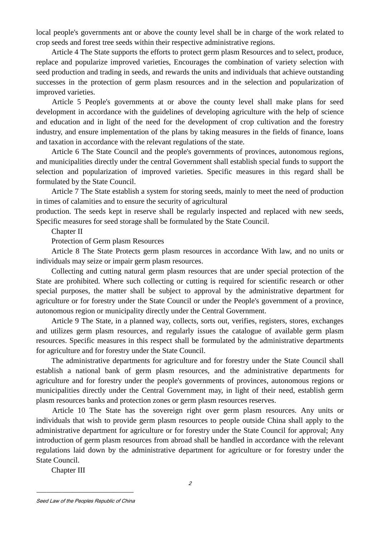local people's governments ant or above the county level shall be in charge of the work related to crop seeds and forest tree seeds within their respective administrative regions.

 Article 4 The State supports the efforts to protect germ plasm Resources and to select, produce, replace and popularize improved varieties, Encourages the combination of variety selection with seed production and trading in seeds, and rewards the units and individuals that achieve outstanding successes in the protection of germ plasm resources and in the selection and popularization of improved varieties.

 Article 5 People's governments at or above the county level shall make plans for seed development in accordance with the guidelines of developing agriculture with the help of science and education and in light of the need for the development of crop cultivation and the forestry industry, and ensure implementation of the plans by taking measures in the fields of finance, loans and taxation in accordance with the relevant regulations of the state.

 Article 6 The State Council and the people's governments of provinces, autonomous regions, and municipalities directly under the central Government shall establish special funds to support the selection and popularization of improved varieties. Specific measures in this regard shall be formulated by the State Council.

 Article 7 The State establish a system for storing seeds, mainly to meet the need of production in times of calamities and to ensure the security of agricultural

production. The seeds kept in reserve shall be regularly inspected and replaced with new seeds, Specific measures for seed storage shall be formulated by the State Council.

Chapter II

Protection of Germ plasm Resources

 Article 8 The State Protects germ plasm resources in accordance With law, and no units or individuals may seize or impair germ plasm resources.

 Collecting and cutting natural germ plasm resources that are under special protection of the State are prohibited. Where such collecting or cutting is required for scientific research or other special purposes, the matter shall be subject to approval by the administrative department for agriculture or for forestry under the State Council or under the People's government of a province, autonomous region or municipality directly under the Central Government.

 Article 9 The State, in a planned way, collects, sorts out, verifies, registers, stores, exchanges and utilizes germ plasm resources, and regularly issues the catalogue of available germ plasm resources. Specific measures in this respect shall be formulated by the administrative departments for agriculture and for forestry under the State Council.

 The administrative departments for agriculture and for forestry under the State Council shall establish a national bank of germ plasm resources, and the administrative departments for agriculture and for forestry under the people's governments of provinces, autonomous regions or municipalities directly under the Central Government may, in light of their need, establish germ plasm resources banks and protection zones or germ plasm resources reserves.

 Article 10 The State has the sovereign right over germ plasm resources. Any units or individuals that wish to provide germ plasm resources to people outside China shall apply to the administrative department for agriculture or for forestry under the State Council for approval; Any introduction of germ plasm resources from abroad shall be handled in accordance with the relevant regulations laid down by the administrative department for agriculture or for forestry under the State Council.

Chapter III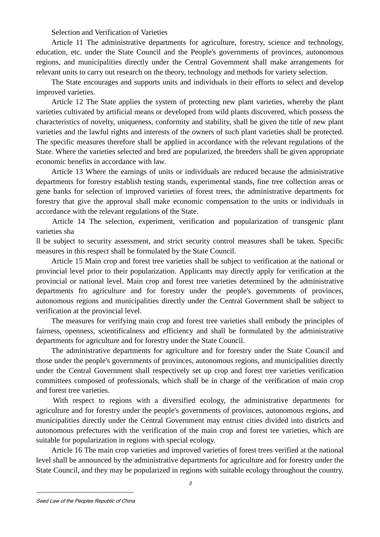Selection and Verification of Varieties

 Article 11 The administrative departments for agriculture, forestry, science and technology, education, etc. under the State Council and the People's governments of provinces, autonomous regions, and municipalities directly under the Central Government shall make arrangements for relevant units to carry out research on the theory, technology and methods for variety selection.

 The State encourages and supports units and individuals in their efforts to select and develop improved varieties.

 Article 12 The State applies the system of protecting new plant varieties, whereby the plant varieties cultivated by artificial means or developed from wild plants discovered, which possess the characteristics of novelty, uniqueness, conformity and stability, shall be given the title of new plant varieties and the lawful rights and interests of the owners of such plant varieties shall be protected. The specific measures therefore shall be applied in accordance with the relevant regulations of the State. Where the varieties selected and bred are popularized, the breeders shall be given appropriate economic benefits in accordance with law.

 Article 13 Where the earnings of units or individuals are reduced because the administrative departments for forestry establish testing stands, experimental stands, fine tree collection areas or gene banks for selection of improved varieties of forest trees, the administrative departments for forestry that give the approval shall make economic compensation to the units or individuals in accordance with the relevant regulations of the State.

 Article 14 The selection, experiment, verification and popularization of transgenic plant varieties sha

ll be subject to security assessment, and strict security control measures shall be taken. Specific measures in this respect shall be formulated by the State Council.

 Article 15 Main crop and forest tree varieties shall be subject to verification at the national or provincial level prior to their popularization. Applicants may directly apply for verification at the provincial or national level. Main crop and forest tree varieties determined by the administrative departments fro agriculture and for forestry under the people's governments of provinces, autonomous regions and municipalities directly under the Central Government shall be subject to verification at the provincial level.

 The measures for verifying main crop and forest tree varieties shall embody the principles of fairness, openness, scientificalness and efficiency and shall be formulated by the administrative departments for agriculture and for forestry under the State Council.

 The administrative departments for agriculture and for forestry under the State Council and those under the people's governments of provinces, autonomous regions, and municipalities directly under the Central Government shall respectively set up crop and forest tree varieties verification committees composed of professionals, which shall be in charge of the verification of main crop and forest tree varieties.

 With respect to regions with a diversified ecology, the administrative departments for agriculture and for forestry under the people's governments of provinces, autonomous regions, and municipalities directly under the Central Government may entrust cities divided into districts and autonomous prefectures with the verification of the main crop and forest tee varieties, which are suitable for popularization in regions with special ecology.

 Article 16 The main crop varieties and improved varieties of forest trees verified at the national level shall be announced by the administrative departments for agriculture and for forestry under the State Council, and they may be popularized in regions with suitable ecology throughout the country.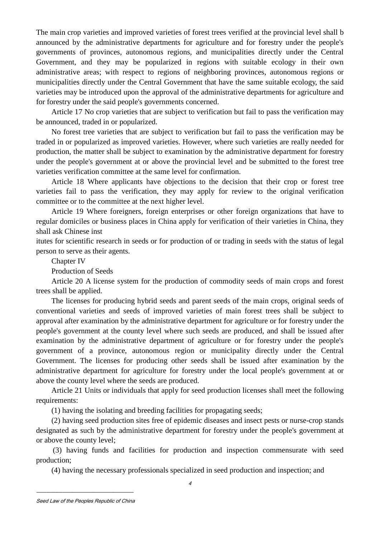The main crop varieties and improved varieties of forest trees verified at the provincial level shall b announced by the administrative departments for agriculture and for forestry under the people's governments of provinces, autonomous regions, and municipalities directly under the Central Government, and they may be popularized in regions with suitable ecology in their own administrative areas; with respect to regions of neighboring provinces, autonomous regions or municipalities directly under the Central Government that have the same suitable ecology, the said varieties may be introduced upon the approval of the administrative departments for agriculture and for forestry under the said people's governments concerned.

 Article 17 No crop varieties that are subject to verification but fail to pass the verification may be announced, traded in or popularized.

 No forest tree varieties that are subject to verification but fail to pass the verification may be traded in or popularized as improved varieties. However, where such varieties are really needed for production, the matter shall be subject to examination by the administrative department for forestry under the people's government at or above the provincial level and be submitted to the forest tree varieties verification committee at the same level for confirmation.

 Article 18 Where applicants have objections to the decision that their crop or forest tree varieties fail to pass the verification, they may apply for review to the original verification committee or to the committee at the next higher level.

 Article 19 Where foreigners, foreign enterprises or other foreign organizations that have to regular domiciles or business places in China apply for verification of their varieties in China, they shall ask Chinese inst

itutes for scientific research in seeds or for production of or trading in seeds with the status of legal person to serve as their agents.

Chapter IV

Production of Seeds

 Article 20 A license system for the production of commodity seeds of main crops and forest trees shall be applied.

 The licenses for producing hybrid seeds and parent seeds of the main crops, original seeds of conventional varieties and seeds of improved varieties of main forest trees shall be subject to approval after examination by the administrative department for agriculture or for forestry under the people's government at the county level where such seeds are produced, and shall be issued after examination by the administrative department of agriculture or for forestry under the people's government of a province, autonomous region or municipality directly under the Central Government. The licenses for producing other seeds shall be issued after examination by the administrative department for agriculture for forestry under the local people's government at or above the county level where the seeds are produced.

 Article 21 Units or individuals that apply for seed production licenses shall meet the following requirements:

(1) having the isolating and breeding facilities for propagating seeds;

 (2) having seed production sites free of epidemic diseases and insect pests or nurse-crop stands designated as such by the administrative department for forestry under the people's government at or above the county level;

 (3) having funds and facilities for production and inspection commensurate with seed production;

(4) having the necessary professionals specialized in seed production and inspection; and

Seed Law of the Peoples Republic of China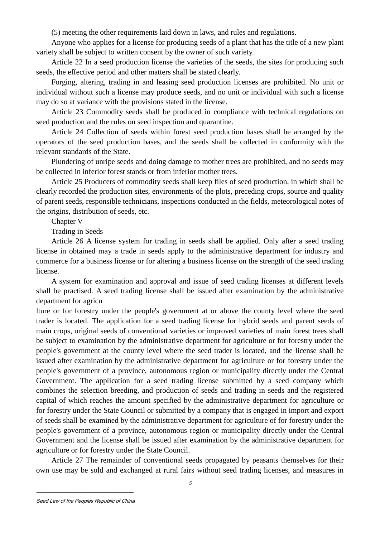(5) meeting the other requirements laid down in laws, and rules and regulations.

 Anyone who applies for a license for producing seeds of a plant that has the title of a new plant variety shall be subject to written consent by the owner of such variety.

 Article 22 In a seed production license the varieties of the seeds, the sites for producing such seeds, the effective period and other matters shall be stated clearly.

 Forging, altering, trading in and leasing seed production licenses are prohibited. No unit or individual without such a license may produce seeds, and no unit or individual with such a license may do so at variance with the provisions stated in the license.

 Article 23 Commodity seeds shall be produced in compliance with technical regulations on seed production and the rules on seed inspection and quarantine.

 Article 24 Collection of seeds within forest seed production bases shall be arranged by the operators of the seed production bases, and the seeds shall be collected in conformity with the relevant standards of the State.

 Plundering of unripe seeds and doing damage to mother trees are prohibited, and no seeds may be collected in inferior forest stands or from inferior mother trees.

 Article 25 Producers of commodity seeds shall keep files of seed production, in which shall be clearly recorded the production sites, environments of the plots, preceding crops, source and quality of parent seeds, responsible technicians, inspections conducted in the fields, meteorological notes of the origins, distribution of seeds, etc.

Chapter V

Trading in Seeds

 Article 26 A license system for trading in seeds shall be applied. Only after a seed trading license in obtained may a trade in seeds apply to the administrative department for industry and commerce for a business license or for altering a business license on the strength of the seed trading license.

 A system for examination and approval and issue of seed trading licenses at different levels shall be practised. A seed trading license shall be issued after examination by the administrative department for agricu

lture or for forestry under the people's government at or above the county level where the seed trader is located. The application for a seed trading license for hybrid seeds and parent seeds of main crops, original seeds of conventional varieties or improved varieties of main forest trees shall be subject to examination by the administrative department for agriculture or for forestry under the people's government at the county level where the seed trader is located, and the license shall be issued after examination by the administrative department for agriculture or for forestry under the people's government of a province, autonomous region or municipality directly under the Central Government. The application for a seed trading license submitted by a seed company which combines the selection breeding, and production of seeds and trading in seeds and the registered capital of which reaches the amount specified by the administrative department for agriculture or for forestry under the State Council or submitted by a company that is engaged in import and export of seeds shall be examined by the administrative department for agriculture of for forestry under the people's government of a province, autonomous region or municipality directly under the Central Government and the license shall be issued after examination by the administrative department for agriculture or for forestry under the State Council.

 Article 27 The remainder of conventional seeds propagated by peasants themselves for their own use may be sold and exchanged at rural fairs without seed trading licenses, and measures in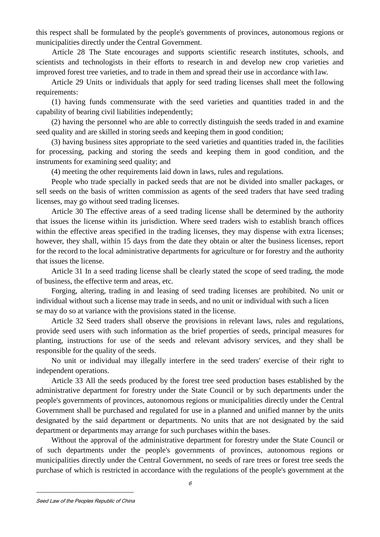this respect shall be formulated by the people's governments of provinces, autonomous regions or municipalities directly under the Central Government.

 Article 28 The State encourages and supports scientific research institutes, schools, and scientists and technologists in their efforts to research in and develop new crop varieties and improved forest tree varieties, and to trade in them and spread their use in accordance with law.

 Article 29 Units or individuals that apply for seed trading licenses shall meet the following requirements:

 (1) having funds commensurate with the seed varieties and quantities traded in and the capability of bearing civil liabilities independently;

 (2) having the personnel who are able to correctly distinguish the seeds traded in and examine seed quality and are skilled in storing seeds and keeping them in good condition;

 (3) having business sites appropriate to the seed varieties and quantities traded in, the facilities for processing, packing and storing the seeds and keeping them in good condition, and the instruments for examining seed quality; and

(4) meeting the other requirements laid down in laws, rules and regulations.

 People who trade specially in packed seeds that are not be divided into smaller packages, or sell seeds on the basis of written commission as agents of the seed traders that have seed trading licenses, may go without seed trading licenses.

 Article 30 The effective areas of a seed trading license shall be determined by the authority that issues the license within its jurisdiction. Where seed traders wish to establish branch offices within the effective areas specified in the trading licenses, they may dispense with extra licenses; however, they shall, within 15 days from the date they obtain or alter the business licenses, report for the record to the local administrative departments for agriculture or for forestry and the authority that issues the license.

 Article 31 In a seed trading license shall be clearly stated the scope of seed trading, the mode of business, the effective term and areas, etc.

 Forging, altering, trading in and leasing of seed trading licenses are prohibited. No unit or individual without such a license may trade in seeds, and no unit or individual with such a licen se may do so at variance with the provisions stated in the license.

 Article 32 Seed traders shall observe the provisions in relevant laws, rules and regulations, provide seed users with such information as the brief properties of seeds, principal measures for planting, instructions for use of the seeds and relevant advisory services, and they shall be responsible for the quality of the seeds.

 No unit or individual may illegally interfere in the seed traders' exercise of their right to independent operations.

 Article 33 All the seeds produced by the forest tree seed production bases established by the administrative department for forestry under the State Council or by such departments under the people's governments of provinces, autonomous regions or municipalities directly under the Central Government shall be purchased and regulated for use in a planned and unified manner by the units designated by the said department or departments. No units that are not designated by the said department or departments may arrange for such purchases within the bases.

 Without the approval of the administrative department for forestry under the State Council or of such departments under the people's governments of provinces, autonomous regions or municipalities directly under the Central Government, no seeds of rare trees or forest tree seeds the purchase of which is restricted in accordance with the regulations of the people's government at the

6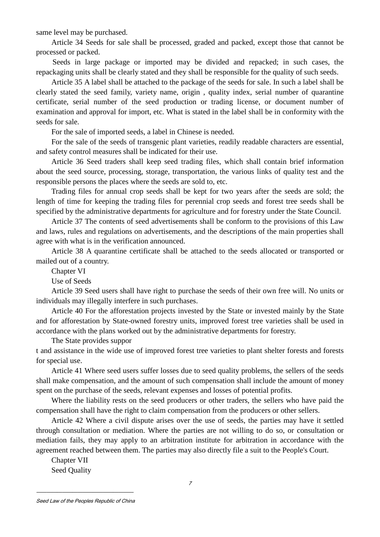same level may be purchased.

 Article 34 Seeds for sale shall be processed, graded and packed, except those that cannot be processed or packed.

 Seeds in large package or imported may be divided and repacked; in such cases, the repackaging units shall be clearly stated and they shall be responsible for the quality of such seeds.

 Article 35 A label shall be attached to the package of the seeds for sale. In such a label shall be clearly stated the seed family, variety name, origin , quality index, serial number of quarantine certificate, serial number of the seed production or trading license, or document number of examination and approval for import, etc. What is stated in the label shall be in conformity with the seeds for sale.

For the sale of imported seeds, a label in Chinese is needed.

 For the sale of the seeds of transgenic plant varieties, readily readable characters are essential, and safety control measures shall be indicated for their use.

 Article 36 Seed traders shall keep seed trading files, which shall contain brief information about the seed source, processing, storage, transportation, the various links of quality test and the responsible persons the places where the seeds are sold to, etc.

 Trading files for annual crop seeds shall be kept for two years after the seeds are sold; the length of time for keeping the trading files for perennial crop seeds and forest tree seeds shall be specified by the administrative departments for agriculture and for forestry under the State Council.

 Article 37 The contents of seed advertisements shall be conform to the provisions of this Law and laws, rules and regulations on advertisements, and the descriptions of the main properties shall agree with what is in the verification announced.

 Article 38 A quarantine certificate shall be attached to the seeds allocated or transported or mailed out of a country.

Chapter VI

Use of Seeds

 Article 39 Seed users shall have right to purchase the seeds of their own free will. No units or individuals may illegally interfere in such purchases.

 Article 40 For the afforestation projects invested by the State or invested mainly by the State and for afforestation by State-owned forestry units, improved forest tree varieties shall be used in accordance with the plans worked out by the administrative departments for forestry.

The State provides suppor

t and assistance in the wide use of improved forest tree varieties to plant shelter forests and forests for special use.

 Article 41 Where seed users suffer losses due to seed quality problems, the sellers of the seeds shall make compensation, and the amount of such compensation shall include the amount of money spent on the purchase of the seeds, relevant expenses and losses of potential profits.

 Where the liability rests on the seed producers or other traders, the sellers who have paid the compensation shall have the right to claim compensation from the producers or other sellers.

 Article 42 Where a civil dispute arises over the use of seeds, the parties may have it settled through consultation or mediation. Where the parties are not willing to do so, or consultation or mediation fails, they may apply to an arbitration institute for arbitration in accordance with the agreement reached between them. The parties may also directly file a suit to the People's Court.

 Chapter VII Seed Quality

Seed Law of the Peoples Republic of China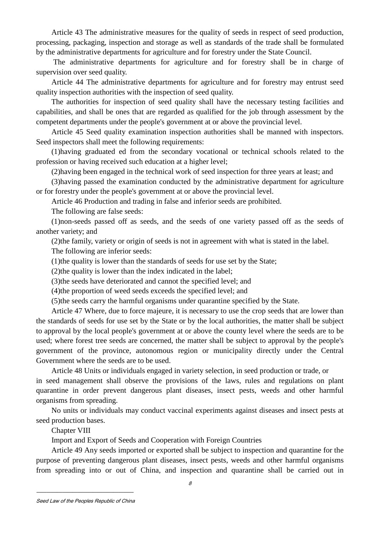Article 43 The administrative measures for the quality of seeds in respect of seed production, processing, packaging, inspection and storage as well as standards of the trade shall be formulated by the administrative departments for agriculture and for forestry under the State Council.

 The administrative departments for agriculture and for forestry shall be in charge of supervision over seed quality.

 Article 44 The administrative departments for agriculture and for forestry may entrust seed quality inspection authorities with the inspection of seed quality.

 The authorities for inspection of seed quality shall have the necessary testing facilities and capabilities, and shall be ones that are regarded as qualified for the job through assessment by the competent departments under the people's government at or above the provincial level.

 Article 45 Seed quality examination inspection authorities shall be manned with inspectors. Seed inspectors shall meet the following requirements:

 (1)having graduated ed from the secondary vocational or technical schools related to the profession or having received such education at a higher level;

(2)having been engaged in the technical work of seed inspection for three years at least; and

 (3)having passed the examination conducted by the administrative department for agriculture or for forestry under the people's government at or above the provincial level.

Article 46 Production and trading in false and inferior seeds are prohibited.

The following are false seeds:

 (1)non-seeds passed off as seeds, and the seeds of one variety passed off as the seeds of another variety; and

(2)the family, variety or origin of seeds is not in agreement with what is stated in the label.

The following are inferior seeds:

(1)the quality is lower than the standards of seeds for use set by the State;

(2)the quality is lower than the index indicated in the label;

(3)the seeds have deteriorated and cannot the specified level; and

(4)the proportion of weed seeds exceeds the specified level; and

(5)the seeds carry the harmful organisms under quarantine specified by the State.

 Article 47 Where, due to force majeure, it is necessary to use the crop seeds that are lower than the standards of seeds for use set by the State or by the local authorities, the matter shall be subject to approval by the local people's government at or above the county level where the seeds are to be used; where forest tree seeds are concerned, the matter shall be subject to approval by the people's government of the province, autonomous region or municipality directly under the Central Government where the seeds are to be used.

Article 48 Units or individuals engaged in variety selection, in seed production or trade, or

in seed management shall observe the provisions of the laws, rules and regulations on plant quarantine in order prevent dangerous plant diseases, insect pests, weeds and other harmful organisms from spreading.

 No units or individuals may conduct vaccinal experiments against diseases and insect pests at seed production bases.

Chapter VIII

Import and Export of Seeds and Cooperation with Foreign Countries

 Article 49 Any seeds imported or exported shall be subject to inspection and quarantine for the purpose of preventing dangerous plant diseases, insect pests, weeds and other harmful organisms from spreading into or out of China, and inspection and quarantine shall be carried out in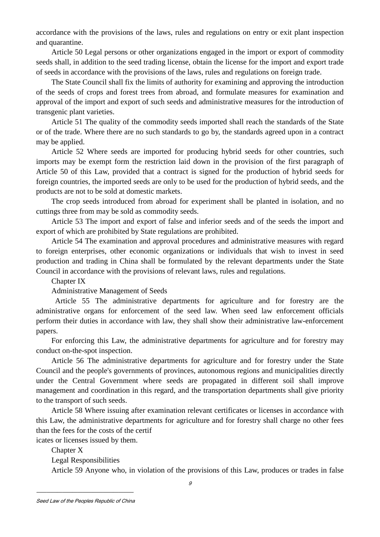accordance with the provisions of the laws, rules and regulations on entry or exit plant inspection and quarantine.

 Article 50 Legal persons or other organizations engaged in the import or export of commodity seeds shall, in addition to the seed trading license, obtain the license for the import and export trade of seeds in accordance with the provisions of the laws, rules and regulations on foreign trade.

 The State Council shall fix the limits of authority for examining and approving the introduction of the seeds of crops and forest trees from abroad, and formulate measures for examination and approval of the import and export of such seeds and administrative measures for the introduction of transgenic plant varieties.

 Article 51 The quality of the commodity seeds imported shall reach the standards of the State or of the trade. Where there are no such standards to go by, the standards agreed upon in a contract may be applied.

 Article 52 Where seeds are imported for producing hybrid seeds for other countries, such imports may be exempt form the restriction laid down in the provision of the first paragraph of Article 50 of this Law, provided that a contract is signed for the production of hybrid seeds for foreign countries, the imported seeds are only to be used for the production of hybrid seeds, and the products are not to be sold at domestic markets.

 The crop seeds introduced from abroad for experiment shall be planted in isolation, and no cuttings three from may be sold as commodity seeds.

 Article 53 The import and export of false and inferior seeds and of the seeds the import and export of which are prohibited by State regulations are prohibited.

 Article 54 The examination and approval procedures and administrative measures with regard to foreign enterprises, other economic organizations or individuals that wish to invest in seed production and trading in China shall be formulated by the relevant departments under the State Council in accordance with the provisions of relevant laws, rules and regulations.

Chapter IX

Administrative Management of Seeds

 Article 55 The administrative departments for agriculture and for forestry are the administrative organs for enforcement of the seed law. When seed law enforcement officials perform their duties in accordance with law, they shall show their administrative law-enforcement papers.

 For enforcing this Law, the administrative departments for agriculture and for forestry may conduct on-the-spot inspection.

 Article 56 The administrative departments for agriculture and for forestry under the State Council and the people's governments of provinces, autonomous regions and municipalities directly under the Central Government where seeds are propagated in different soil shall improve management and coordination in this regard, and the transportation departments shall give priority to the transport of such seeds.

 Article 58 Where issuing after examination relevant certificates or licenses in accordance with this Law, the administrative departments for agriculture and for forestry shall charge no other fees than the fees for the costs of the certif

icates or licenses issued by them.

 Chapter X Legal Responsibilities Article 59 Anyone who, in violation of the provisions of this Law, produces or trades in false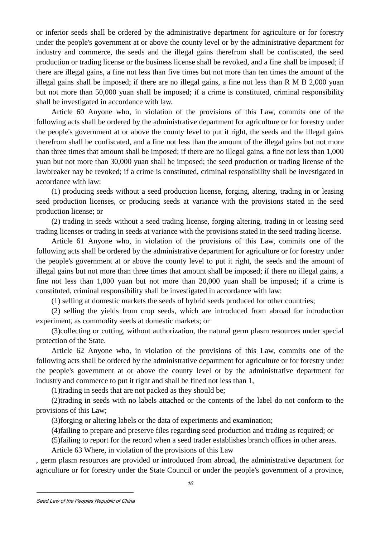or inferior seeds shall be ordered by the administrative department for agriculture or for forestry under the people's government at or above the county level or by the administrative department for industry and commerce, the seeds and the illegal gains therefrom shall be confiscated, the seed production or trading license or the business license shall be revoked, and a fine shall be imposed; if there are illegal gains, a fine not less than five times but not more than ten times the amount of the illegal gains shall be imposed; if there are no illegal gains, a fine not less than R M B 2,000 yuan but not more than 50,000 yuan shall be imposed; if a crime is constituted, criminal responsibility shall be investigated in accordance with law.

 Article 60 Anyone who, in violation of the provisions of this Law, commits one of the following acts shall be ordered by the administrative department for agriculture or for forestry under the people's government at or above the county level to put it right, the seeds and the illegal gains therefrom shall be confiscated, and a fine not less than the amount of the illegal gains but not more than three times that amount shall be imposed; if there are no illegal gains, a fine not less than 1,000 yuan but not more than 30,000 yuan shall be imposed; the seed production or trading license of the lawbreaker nay be revoked; if a crime is constituted, criminal responsibility shall be investigated in accordance with law:

 (1) producing seeds without a seed production license, forging, altering, trading in or leasing seed production licenses, or producing seeds at variance with the provisions stated in the seed production license; or

 (2) trading in seeds without a seed trading license, forging altering, trading in or leasing seed trading licenses or trading in seeds at variance with the provisions stated in the seed trading license.

 Article 61 Anyone who, in violation of the provisions of this Law, commits one of the following acts shall be ordered by the administrative department for agriculture or for forestry under the people's government at or above the county level to put it right, the seeds and the amount of illegal gains but not more than three times that amount shall be imposed; if there no illegal gains, a fine not less than 1,000 yuan but not more than 20,000 yuan shall be imposed; if a crime is constituted, criminal responsibility shall be investigated in accordance with law:

(1) selling at domestic markets the seeds of hybrid seeds produced for other countries;

 (2) selling the yields from crop seeds, which are introduced from abroad for introduction experiment, as commodity seeds at domestic markets; or

 (3)collecting or cutting, without authorization, the natural germ plasm resources under special protection of the State.

 Article 62 Anyone who, in violation of the provisions of this Law, commits one of the following acts shall be ordered by the administrative department for agriculture or for forestry under the people's government at or above the county level or by the administrative department for industry and commerce to put it right and shall be fined not less than 1,

(1)trading in seeds that are not packed as they should be;

 (2)trading in seeds with no labels attached or the contents of the label do not conform to the provisions of this Law;

(3)forging or altering labels or the data of experiments and examination;

(4)failing to prepare and preserve files regarding seed production and trading as required; or

(5)failing to report for the record when a seed trader establishes branch offices in other areas.

Article 63 Where, in violation of the provisions of this Law

, germ plasm resources are provided or introduced from abroad, the administrative department for agriculture or for forestry under the State Council or under the people's government of a province,

Seed Law of the Peoples Republic of China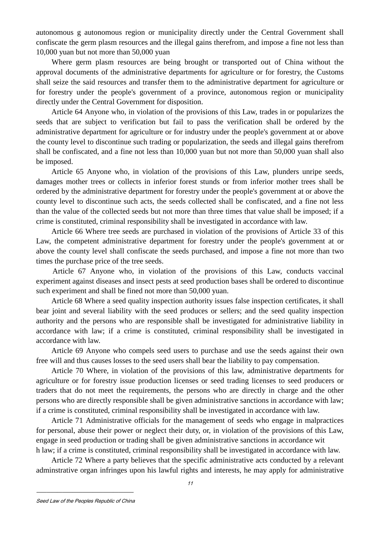autonomous g autonomous region or municipality directly under the Central Government shall confiscate the germ plasm resources and the illegal gains therefrom, and impose a fine not less than 10,000 yuan but not more than 50,000 yuan

 Where germ plasm resources are being brought or transported out of China without the approval documents of the administrative departments for agriculture or for forestry, the Customs shall seize the said resources and transfer them to the administrative department for agriculture or for forestry under the people's government of a province, autonomous region or municipality directly under the Central Government for disposition.

 Article 64 Anyone who, in violation of the provisions of this Law, trades in or popularizes the seeds that are subject to verification but fail to pass the verification shall be ordered by the administrative department for agriculture or for industry under the people's government at or above the county level to discontinue such trading or popularization, the seeds and illegal gains therefrom shall be confiscated, and a fine not less than 10,000 yuan but not more than 50,000 yuan shall also be imposed.

 Article 65 Anyone who, in violation of the provisions of this Law, plunders unripe seeds, damages mother trees or collects in inferior forest stunds or from inferior mother trees shall be ordered by the administrative department for forestry under the people's government at or above the county level to discontinue such acts, the seeds collected shall be confiscated, and a fine not less than the value of the collected seeds but not more than three times that value shall be imposed; if a crime is constituted, criminal responsibility shall be investigated in accordance with law.

 Article 66 Where tree seeds are purchased in violation of the provisions of Article 33 of this Law, the competent administrative department for forestry under the people's government at or above the county level shall confiscate the seeds purchased, and impose a fine not more than two times the purchase price of the tree seeds.

 Article 67 Anyone who, in violation of the provisions of this Law, conducts vaccinal experiment against diseases and insect pests at seed production bases shall be ordered to discontinue such experiment and shall be fined not more than 50,000 yuan.

 Article 68 Where a seed quality inspection authority issues false inspection certificates, it shall bear joint and several liability with the seed produces or sellers; and the seed quality inspection authority and the persons who are responsible shall be investigated for administrative liability in accordance with law; if a crime is constituted, criminal responsibility shall be investigated in accordance with law.

 Article 69 Anyone who compels seed users to purchase and use the seeds against their own free will and thus causes losses to the seed users shall bear the liability to pay compensation.

 Article 70 Where, in violation of the provisions of this law, administrative departments for agriculture or for forestry issue production licenses or seed trading licenses to seed producers or traders that do not meet the requirements, the persons who are directly in charge and the other persons who are directly responsible shall be given administrative sanctions in accordance with law; if a crime is constituted, criminal responsibility shall be investigated in accordance with law.

 Article 71 Administrative officials for the management of seeds who engage in malpractices for personal, abuse their power or neglect their duty, or, in violation of the provisions of this Law, engage in seed production or trading shall be given administrative sanctions in accordance wit h law; if a crime is constituted, criminal responsibility shall be investigated in accordance with law.

 Article 72 Where a party believes that the specific administrative acts conducted by a relevant adminstrative organ infringes upon his lawful rights and interests, he may apply for administrative